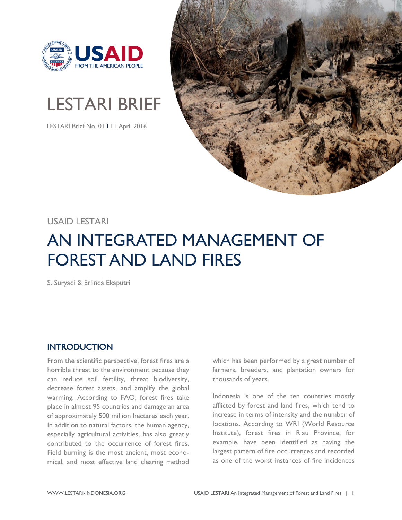

# LESTARI BRIEF

LESTARI Brief No. 01 I 11 April 2016



## USAID LESTARI

## AN INTEGRATED MANAGEMENT OF FOREST AND LAND FIRES

S. Suryadi & Erlinda Ekaputri

## **INTRODUCTION**

From the scientific perspective, forest fires are a horrible threat to the environment because they can reduce soil fertility, threat biodiversity, decrease forest assets, and amplify the global warming. According to FAO, forest fires take place in almost 95 countries and damage an area of approximately 500 million hectares each year. In addition to natural factors, the human agency, especially agricultural activities, has also greatly contributed to the occurrence of forest fires. Field burning is the most ancient, most economical, and most effective land clearing method

which has been performed by a great number of farmers, breeders, and plantation owners for thousands of years.

Indonesia is one of the ten countries mostly afflicted by forest and land fires, which tend to increase in terms of intensity and the number of locations. According to WRI (World Resource Institute), forest fires in Riau Province, for example, have been identified as having the largest pattern of fire occurrences and recorded as one of the worst instances of fire incidences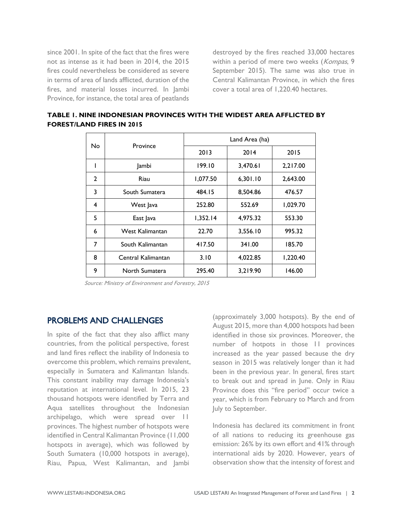since 2001. In spite of the fact that the fires were not as intense as it had been in 2014, the 2015 fires could nevertheless be considered as severe in terms of area of lands afflicted, duration of the fires, and material losses incurred. In Jambi Province, for instance, the total area of peatlands destroyed by the fires reached 33,000 hectares within a period of mere two weeks (Kompas, 9 September 2015). The same was also true in Central Kalimantan Province, in which the fires cover a total area of 1,220.40 hectares.

| No.            | Province           | Land Area (ha) |          |          |
|----------------|--------------------|----------------|----------|----------|
|                |                    | 2013           | 2014     | 2015     |
| ı              | Jambi              | 199.10         | 3,470.61 | 2,217.00 |
| $\overline{2}$ | Riau               | 1,077.50       | 6,301.10 | 2,643.00 |
| 3              | South Sumatera     | 484.15         | 8,504.86 | 476.57   |
| 4              | West Java          | 252.80         | 552.69   | 1,029.70 |
| 5              | East Java          | 1,352.14       | 4,975.32 | 553.30   |
| 6              | West Kalimantan    | 22.70          | 3,556.10 | 995.32   |
| 7              | South Kalimantan   | 417.50         | 341.00   | 185.70   |
| 8              | Central Kalimantan | 3.10           | 4,022.85 | 1,220.40 |
| 9              | North Sumatera     | 295.40         | 3,219.90 | 146.00   |

**TABLE 1. NINE INDONESIAN PROVINCES WITH THE WIDEST AREA AFFLICTED BY FOREST/LAND FIRES IN 2015**

Source: Ministry of Environment and Forestry, 2015

### PROBLEMS AND CHALLENGES

In spite of the fact that they also afflict many countries, from the political perspective, forest and land fires reflect the inability of Indonesia to overcome this problem, which remains prevalent, especially in Sumatera and Kalimantan Islands. This constant inability may damage Indonesia's reputation at international level. In 2015, 23 thousand hotspots were identified by Terra and Aqua satellites throughout the Indonesian archipelago, which were spread over 11 provinces. The highest number of hotspots were identified in Central Kalimantan Province (11,000 hotspots in average), which was followed by South Sumatera (10,000 hotspots in average), Riau, Papua, West Kalimantan, and Jambi

(approximately 3,000 hotspots). By the end of August 2015, more than 4,000 hotspots had been identified in those six provinces. Moreover, the number of hotpots in those 11 provinces increased as the year passed because the dry season in 2015 was relatively longer than it had been in the previous year. In general, fires start to break out and spread in June. Only in Riau Province does this "fire period" occur twice a year, which is from February to March and from July to September.

Indonesia has declared its commitment in front of all nations to reducing its greenhouse gas emission: 26% by its own effort and 41% through international aids by 2020. However, years of observation show that the intensity of forest and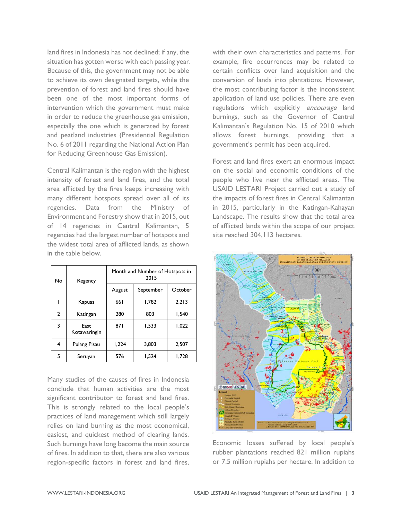land fires in Indonesia has not declined; if any, the situation has gotten worse with each passing year. Because of this, the government may not be able to achieve its own designated targets, while the prevention of forest and land fires should have been one of the most important forms of intervention which the government must make in order to reduce the greenhouse gas emission, especially the one which is generated by forest and peatland industries (Presidential Regulation No. 6 of 2011 regarding the National Action Plan for Reducing Greenhouse Gas Emission).

Central Kalimantan is the region with the highest intensity of forest and land fires, and the total area afflicted by the fires keeps increasing with many different hotspots spread over all of its regencies. Data from the Ministry of Environment and Forestry show that in 2015, out of 14 regencies in Central Kalimantan, 5 regencies had the largest number of hotspots and the widest total area of afflicted lands, as shown in the table below.

| No | Regency              | Month and Number of Hotspots in<br>2015 |           |         |
|----|----------------------|-----------------------------------------|-----------|---------|
|    |                      | August                                  | September | October |
|    | Kapuas               | 66 I                                    | 1.782     | 2.213   |
| 2  | Katingan             | 280                                     | 803       | 1.540   |
| 3  | East<br>Kotawaringin | 871                                     | 1,533     | 1,022   |
| 4  | Pulang Pisau         | 1,224                                   | 3.803     | 2.507   |
| 5  | Seruyan              | 576                                     | 1,524     | 1,728   |

Many studies of the causes of fires in Indonesia conclude that human activities are the most significant contributor to forest and land fires. This is strongly related to the local people's practices of land management which still largely relies on land burning as the most economical, easiest, and quickest method of clearing lands. Such burnings have long become the main source of fires. In addition to that, there are also various region-specific factors in forest and land fires, with their own characteristics and patterns. For example, fire occurrences may be related to certain conflicts over land acquisition and the conversion of lands into plantations. However, the most contributing factor is the inconsistent application of land use policies. There are even regulations which explicitly encourage land burnings, such as the Governor of Central Kalimantan's Regulation No. 15 of 2010 which allows forest burnings, providing that a government's permit has been acquired.

Forest and land fires exert an enormous impact on the social and economic conditions of the people who live near the afflicted areas. The USAID LESTARI Project carried out a study of the impacts of forest fires in Central Kalimantan in 2015, particularly in the Katingan-Kahayan Landscape. The results show that the total area of afflicted lands within the scope of our project site reached 304, II3 hectares.



Economic losses suffered by local people's rubber plantations reached 821 million rupiahs or 7.5 million rupiahs per hectare. In addition to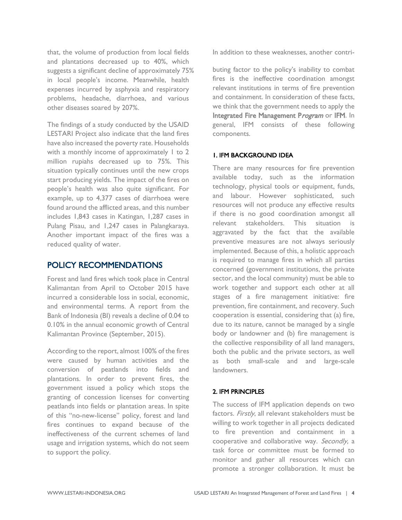that, the volume of production from local fields and plantations decreased up to 40%, which suggests a significant decline of approximately 75% in local people's income. Meanwhile, health expenses incurred by asphyxia and respiratory problems, headache, diarrhoea, and various other diseases soared by 207%.

The findings of a study conducted by the USAID LESTARI Project also indicate that the land fires have also increased the poverty rate. Households with a monthly income of approximately 1 to 2 million rupiahs decreased up to 75%. This situation typically continues until the new crops start producing yields. The impact of the fires on people's health was also quite significant. For example, up to 4,377 cases of diarrhoea were found around the afflicted areas, and this number includes 1,843 cases in Katingan, 1,287 cases in Pulang Pisau, and 1,247 cases in Palangkaraya. Another important impact of the fires was a reduced quality of water.

## POLICY RECOMMENDATIONS

Forest and land fires which took place in Central Kalimantan from April to October 2015 have incurred a considerable loss in social, economic, and environmental terms. A report from the Bank of Indonesia (BI) reveals a decline of 0.04 to 0.10% in the annual economic growth of Central Kalimantan Province (September, 2015).

According to the report, almost 100% of the fires were caused by human activities and the conversion of peatlands into fields and plantations. In order to prevent fires, the government issued a policy which stops the granting of concession licenses for converting peatlands into fields or plantation areas. In spite of this "no-new-license" policy, forest and land fires continues to expand because of the ineffectiveness of the current schemes of land usage and irrigation systems, which do not seem to support the policy.

In addition to these weaknesses, another contri-

buting factor to the policy's inability to combat fires is the ineffective coordination amongst relevant institutions in terms of fire prevention and containment. In consideration of these facts, we think that the government needs to apply the Integrated Fire Management Program or IFM. In general, IFM consists of these following components.

### 1. IFM BACKGROUND IDEA

There are many resources for fire prevention available today, such as the information technology, physical tools or equipment, funds, and labour. However sophisticated, such resources will not produce any effective results if there is no good coordination amongst all relevant stakeholders. This situation is aggravated by the fact that the available preventive measures are not always seriously implemented. Because of this, a holistic approach is required to manage fires in which all parties concerned (government institutions, the private sector, and the local community) must be able to work together and support each other at all stages of a fire management initiative: fire prevention, fire containment, and recovery. Such cooperation is essential, considering that (a) fire, due to its nature, cannot be managed by a single body or landowner and (b) fire management is the collective responsibility of all land managers, both the public and the private sectors, as well as both small-scale and and large-scale landowners.

## 2. IFM PRINCIPLES

The success of IFM application depends on two factors. Firstly, all relevant stakeholders must be willing to work together in all projects dedicated to fire prevention and containment in a cooperative and collaborative way. Secondly, a task force or committee must be formed to monitor and gather all resources which can promote a stronger collaboration. It must be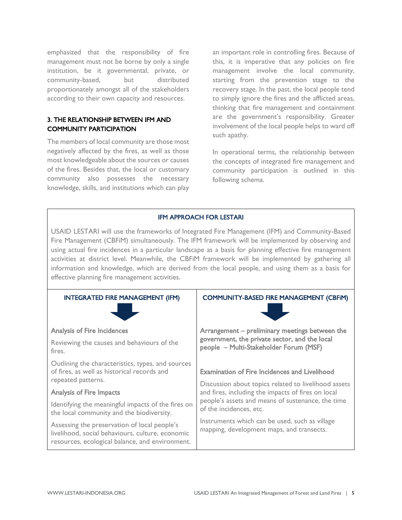emphasized that the responsibility of fire management must not be borne by only a single institution, be it governmental, private, or community-based, but distributed proportionately amongst all of the stakeholders according to their own capacity and resources.

### 3. THE RELATIONSHIP BETWEEN IFM AND COMMUNITY PARTICIPATION

The members of local community are those most negatively affected by the fires, as well as those most knowledgeable about the sources or causes of the fires. Besides that, the local or customary community also possesses the necessary knowledge, skills, and institutions which can play

an important role in controlling fires. Because of this, it is imperative that any policies on fire management involve the local community, starting from the prevention stage to the recovery stage. In the past, the local people tend to simply ignore the fires and the afflicted areas, thinking that fire management and containment are the government's responsibility. Greater involvement of the local people helps to ward off such apathy.

In operational terms, the relationship between the concepts of integrated fire management and community participation is outlined in this following schema.

#### IFM APPROACH FOR LESTARI

USAID LESTARI will use the frameworks of Integrated Fire Management (IFM) and Community-Based Fire Management (CBFiM) simultaneously. The IFM framework will be implemented by observing and using actual fire incidences in a particular landscape as a basis for planning effective fire management activities at district level. Meanwhile, the CBFiM framework will be implemented by gathering all information and knowledge, which are derived from the local people, and using them as a basis for effective planning fire management activities.

| <b>INTEGRATED FIRE MANAGEMENT (IFM)</b>                                                                                                             | <b>COMMUNITY-BASED FIRE MANAGEMENT (CBFIM)</b>                                                                                                                                                                                                     |  |
|-----------------------------------------------------------------------------------------------------------------------------------------------------|----------------------------------------------------------------------------------------------------------------------------------------------------------------------------------------------------------------------------------------------------|--|
| <b>Analysis of Fire Incidences</b>                                                                                                                  | Arrangement – preliminary meetings between the<br>government, the private sector, and the local<br>people - Multi-Stakeholder Forum (MSF)                                                                                                          |  |
| Reviewing the causes and behaviours of the<br>fires.                                                                                                |                                                                                                                                                                                                                                                    |  |
| Outlining the characteristics, types, and sources<br>of fires, as well as historical records and<br>repeated patterns.                              | <b>Examination of Fire Incidences and Livelihood</b><br>Discussion about topics related to livelihood assets<br>and fires, including the impacts of fires on local<br>people's assets and means of sustenance, the time<br>of the incidences, etc. |  |
| <b>Analysis of Fire Impacts</b>                                                                                                                     |                                                                                                                                                                                                                                                    |  |
| Identifying the meaningful impacts of the fires on<br>the local community and the biodiversity.                                                     |                                                                                                                                                                                                                                                    |  |
| Assessing the preservation of local people's<br>livelihood, social behaviours, culture, economic<br>resources, ecological balance, and environment. | Instruments which can be used, such as village<br>mapping, development maps, and transects.                                                                                                                                                        |  |